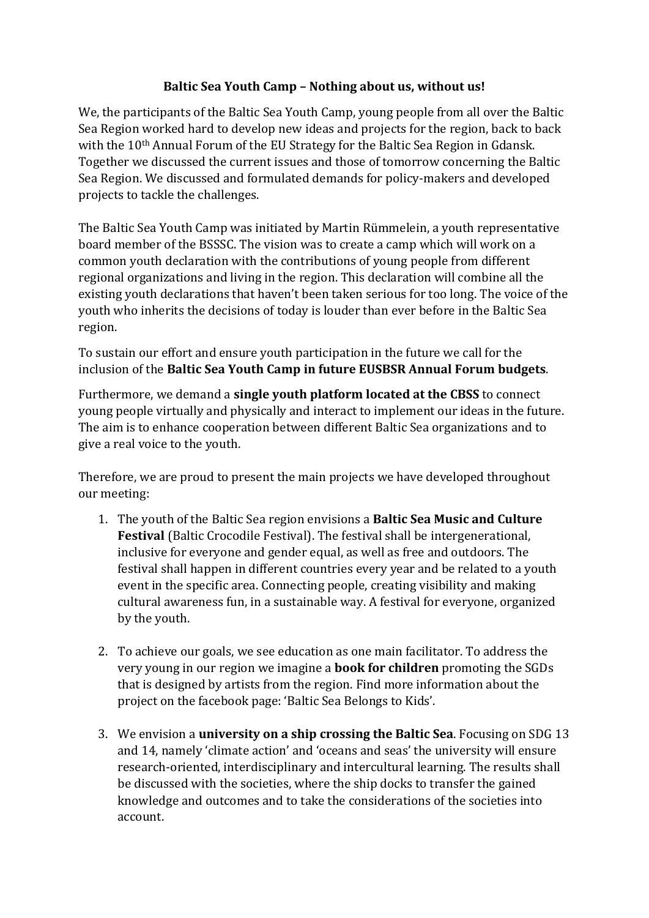## **Baltic Sea Youth Camp – Nothing about us, without us!**

We, the participants of the Baltic Sea Youth Camp, young people from all over the Baltic Sea Region worked hard to develop new ideas and projects for the region, back to back with the 10<sup>th</sup> Annual Forum of the EU Strategy for the Baltic Sea Region in Gdansk. Together we discussed the current issues and those of tomorrow concerning the Baltic Sea Region. We discussed and formulated demands for policy-makers and developed projects to tackle the challenges.

The Baltic Sea Youth Camp was initiated by Martin Rümmelein, a youth representative board member of the BSSSC. The vision was to create a camp which will work on a common youth declaration with the contributions of young people from different regional organizations and living in the region. This declaration will combine all the existing youth declarations that haven't been taken serious for too long. The voice of the youth who inherits the decisions of today is louder than ever before in the Baltic Sea region.

To sustain our effort and ensure youth participation in the future we call for the inclusion of the **Baltic Sea Youth Camp in future EUSBSR Annual Forum budgets**.

Furthermore, we demand a **single youth platform located at the CBSS** to connect young people virtually and physically and interact to implement our ideas in the future. The aim is to enhance cooperation between different Baltic Sea organizations and to give a real voice to the youth.

Therefore, we are proud to present the main projects we have developed throughout our meeting:

- 1. The youth of the Baltic Sea region envisions a **Baltic Sea Music and Culture Festival** (Baltic Crocodile Festival). The festival shall be intergenerational, inclusive for everyone and gender equal, as well as free and outdoors. The festival shall happen in different countries every year and be related to a youth event in the specific area. Connecting people, creating visibility and making cultural awareness fun, in a sustainable way. A festival for everyone, organized by the youth.
- 2. To achieve our goals, we see education as one main facilitator. To address the very young in our region we imagine a **book for children** promoting the SGDs that is designed by artists from the region. Find more information about the project on the facebook page: 'Baltic Sea Belongs to Kids'.
- 3. We envision a **university on a ship crossing the Baltic Sea**. Focusing on SDG 13 and 14, namely 'climate action' and 'oceans and seas' the university will ensure research-oriented, interdisciplinary and intercultural learning. The results shall be discussed with the societies, where the ship docks to transfer the gained knowledge and outcomes and to take the considerations of the societies into account.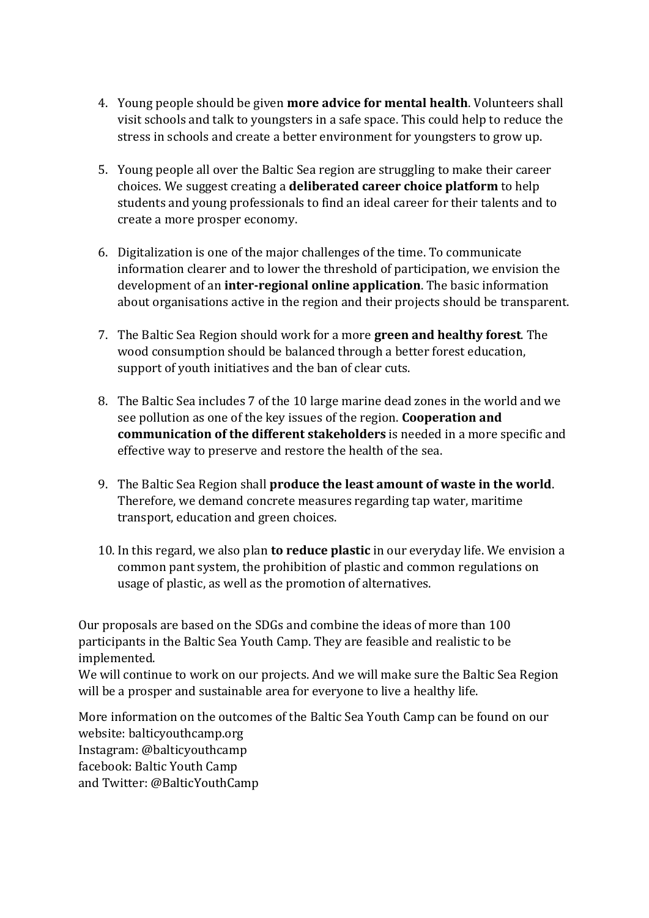- 4. Young people should be given **more advice for mental health**. Volunteers shall visit schools and talk to youngsters in a safe space. This could help to reduce the stress in schools and create a better environment for youngsters to grow up.
- 5. Young people all over the Baltic Sea region are struggling to make their career choices. We suggest creating a **deliberated career choice platform** to help students and young professionals to find an ideal career for their talents and to create a more prosper economy.
- 6. Digitalization is one of the major challenges of the time. To communicate information clearer and to lower the threshold of participation, we envision the development of an **inter-regional online application**. The basic information about organisations active in the region and their projects should be transparent.
- 7. The Baltic Sea Region should work for a more **green and healthy forest**. The wood consumption should be balanced through a better forest education, support of youth initiatives and the ban of clear cuts.
- 8. The Baltic Sea includes 7 of the 10 large marine dead zones in the world and we see pollution as one of the key issues of the region. **Cooperation and communication of the different stakeholders** is needed in a more specific and effective way to preserve and restore the health of the sea.
- 9. The Baltic Sea Region shall **produce the least amount of waste in the world**. Therefore, we demand concrete measures regarding tap water, maritime transport, education and green choices.
- 10. In this regard, we also plan **to reduce plastic** in our everyday life. We envision a common pant system, the prohibition of plastic and common regulations on usage of plastic, as well as the promotion of alternatives.

Our proposals are based on the SDGs and combine the ideas of more than 100 participants in the Baltic Sea Youth Camp. They are feasible and realistic to be implemented.

We will continue to work on our projects. And we will make sure the Baltic Sea Region will be a prosper and sustainable area for everyone to live a healthy life.

More information on the outcomes of the Baltic Sea Youth Camp can be found on our website: balticyouthcamp.org Instagram: @balticyouthcamp facebook: Baltic Youth Camp and Twitter: @BalticYouthCamp